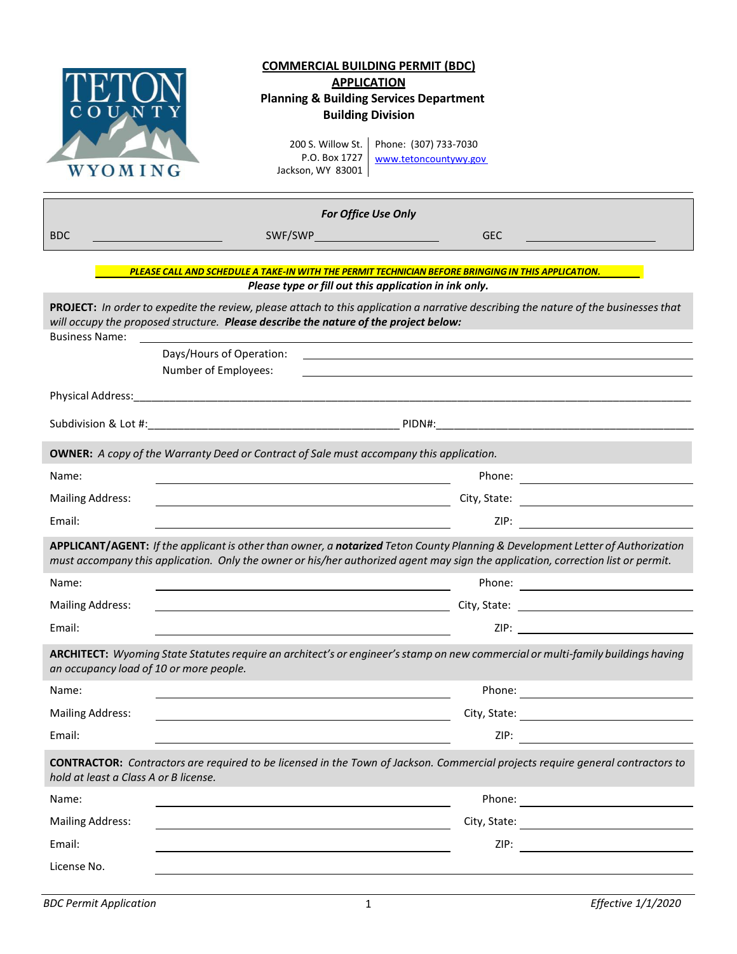| U N<br>WYOMING                                                                                                                                                                                                                                                                                            | <u>COMMERCIAL BUILDING PERMIT (BDC)</u><br><b>APPLICATION</b><br><b>Planning &amp; Building Services Department</b><br><b>Building Division</b><br>200 S. Willow St.<br>Phone: (307) 733-7030<br>P.O. Box 1727<br>www.tetoncountywy.gov<br>Jackson, WY 83001       |  |  |  |  |
|-----------------------------------------------------------------------------------------------------------------------------------------------------------------------------------------------------------------------------------------------------------------------------------------------------------|--------------------------------------------------------------------------------------------------------------------------------------------------------------------------------------------------------------------------------------------------------------------|--|--|--|--|
|                                                                                                                                                                                                                                                                                                           | <b>For Office Use Only</b>                                                                                                                                                                                                                                         |  |  |  |  |
| <b>BDC</b>                                                                                                                                                                                                                                                                                                | <b>GEC</b>                                                                                                                                                                                                                                                         |  |  |  |  |
|                                                                                                                                                                                                                                                                                                           | PLEASE CALL AND SCHEDULE A TAKE-IN WITH THE PERMIT TECHNICIAN BEFORE BRINGING IN THIS APPLICATION.<br>Please type or fill out this application in ink only.                                                                                                        |  |  |  |  |
| PROJECT: In order to expedite the review, please attach to this application a narrative describing the nature of the businesses that<br>will occupy the proposed structure. Please describe the nature of the project below:<br><b>Business Name:</b><br>Days/Hours of Operation:<br>Number of Employees: |                                                                                                                                                                                                                                                                    |  |  |  |  |
| Physical Address:                                                                                                                                                                                                                                                                                         |                                                                                                                                                                                                                                                                    |  |  |  |  |
|                                                                                                                                                                                                                                                                                                           |                                                                                                                                                                                                                                                                    |  |  |  |  |
|                                                                                                                                                                                                                                                                                                           | <b>OWNER:</b> A copy of the Warranty Deed or Contract of Sale must accompany this application.                                                                                                                                                                     |  |  |  |  |
| Name:                                                                                                                                                                                                                                                                                                     |                                                                                                                                                                                                                                                                    |  |  |  |  |
| <b>Mailing Address:</b>                                                                                                                                                                                                                                                                                   | City, State:                                                                                                                                                                                                                                                       |  |  |  |  |
| Email:                                                                                                                                                                                                                                                                                                    | ZIP:                                                                                                                                                                                                                                                               |  |  |  |  |
|                                                                                                                                                                                                                                                                                                           | APPLICANT/AGENT: If the applicant is other than owner, a notarized Teton County Planning & Development Letter of Authorization<br>must accompany this application. Only the owner or his/her authorized agent may sign the application, correction list or permit. |  |  |  |  |
| Name:                                                                                                                                                                                                                                                                                                     | Phone:                                                                                                                                                                                                                                                             |  |  |  |  |
| <b>Mailing Address:</b>                                                                                                                                                                                                                                                                                   | the contract of the contract of the contract of the contract of the contract of the contract of the                                                                                                                                                                |  |  |  |  |
| Email:                                                                                                                                                                                                                                                                                                    |                                                                                                                                                                                                                                                                    |  |  |  |  |
| ARCHITECT: Wyoming State Statutes require an architect's or engineer's stamp on new commercial or multi-family buildings having<br>an occupancy load of 10 or more people.                                                                                                                                |                                                                                                                                                                                                                                                                    |  |  |  |  |
| Name:                                                                                                                                                                                                                                                                                                     |                                                                                                                                                                                                                                                                    |  |  |  |  |
| <b>Mailing Address:</b>                                                                                                                                                                                                                                                                                   | <u> 1989 - Johann Stein, fransk politiker (d. 1989)</u>                                                                                                                                                                                                            |  |  |  |  |
| Email:                                                                                                                                                                                                                                                                                                    |                                                                                                                                                                                                                                                                    |  |  |  |  |
| <b>CONTRACTOR:</b> Contractors are required to be licensed in the Town of Jackson. Commercial projects require general contractors to<br>hold at least a Class A or B license.                                                                                                                            |                                                                                                                                                                                                                                                                    |  |  |  |  |
| Name:                                                                                                                                                                                                                                                                                                     |                                                                                                                                                                                                                                                                    |  |  |  |  |
| <b>Mailing Address:</b>                                                                                                                                                                                                                                                                                   |                                                                                                                                                                                                                                                                    |  |  |  |  |
| Email:                                                                                                                                                                                                                                                                                                    |                                                                                                                                                                                                                                                                    |  |  |  |  |
| License No.                                                                                                                                                                                                                                                                                               |                                                                                                                                                                                                                                                                    |  |  |  |  |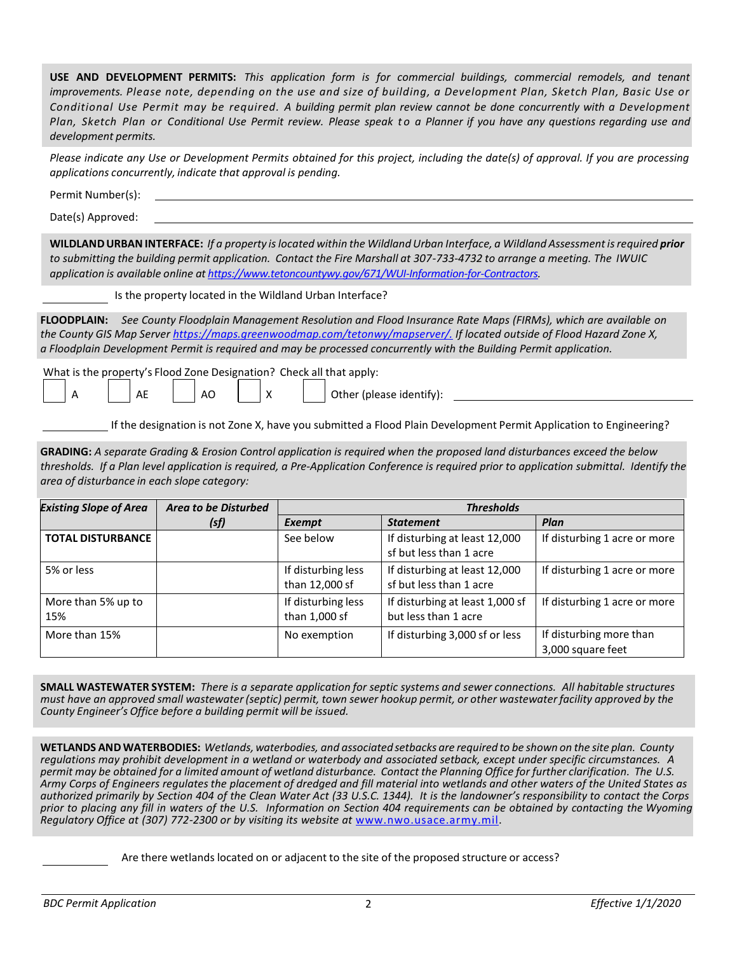| USE AND DEVELOPMENT PERMITS: This application form is for commercial buildings, commercial remodels, and tenant<br>improvements. Please note, depending on the use and size of building, a Development Plan, Sketch Plan, Basic Use or<br>Conditional Use Permit may be required. A building permit plan review cannot be done concurrently with a Development<br>Plan, Sketch Plan or Conditional Use Permit review. Please speak to a Planner if you have any questions regarding use and<br>development permits. |                                                                                                  |                                                          |                                                                              |  |  |  |
|---------------------------------------------------------------------------------------------------------------------------------------------------------------------------------------------------------------------------------------------------------------------------------------------------------------------------------------------------------------------------------------------------------------------------------------------------------------------------------------------------------------------|--------------------------------------------------------------------------------------------------|----------------------------------------------------------|------------------------------------------------------------------------------|--|--|--|
| Please indicate any Use or Development Permits obtained for this project, including the date(s) of approval. If you are processing<br>applications concurrently, indicate that approval is pending.                                                                                                                                                                                                                                                                                                                 |                                                                                                  |                                                          |                                                                              |  |  |  |
| Permit Number(s):                                                                                                                                                                                                                                                                                                                                                                                                                                                                                                   |                                                                                                  |                                                          |                                                                              |  |  |  |
|                                                                                                                                                                                                                                                                                                                                                                                                                                                                                                                     |                                                                                                  |                                                          |                                                                              |  |  |  |
| WILDLAND URBAN INTERFACE: If a property is located within the Wildland Urban Interface, a Wildland Assessment is required prior<br>to submitting the building permit application. Contact the Fire Marshall at 307-733-4732 to arrange a meeting. The IWUIC<br>application is available online at https://www.tetoncountywy.gov/671/WUI-Information-for-Contractors.                                                                                                                                                |                                                                                                  |                                                          |                                                                              |  |  |  |
|                                                                                                                                                                                                                                                                                                                                                                                                                                                                                                                     |                                                                                                  |                                                          |                                                                              |  |  |  |
| FLOODPLAIN: See County Floodplain Management Resolution and Flood Insurance Rate Maps (FIRMs), which are available on<br>the County GIS Map Server <u>https://maps.greenwoodmap.com/tetonwy/mapserver/.</u> If located outside of Flood Hazard Zone X,<br>a Floodplain Development Permit is required and may be processed concurrently with the Building Permit application.                                                                                                                                       |                                                                                                  |                                                          |                                                                              |  |  |  |
| What is the property's Flood Zone Designation? Check all that apply:<br>AE<br>AO<br>A<br>X<br>Other (please identify):                                                                                                                                                                                                                                                                                                                                                                                              |                                                                                                  |                                                          |                                                                              |  |  |  |
| If the designation is not Zone X, have you submitted a Flood Plain Development Permit Application to Engineering?                                                                                                                                                                                                                                                                                                                                                                                                   |                                                                                                  |                                                          |                                                                              |  |  |  |
| GRADING: A separate Grading & Erosion Control application is required when the proposed land disturbances exceed the below<br>thresholds. If a Plan level application is required, a Pre-Application Conference is required prior to application submittal. Identify the<br>area of disturbance in each slope category:                                                                                                                                                                                             |                                                                                                  |                                                          |                                                                              |  |  |  |
| <b>Area to be Disturbed</b>                                                                                                                                                                                                                                                                                                                                                                                                                                                                                         |                                                                                                  | <b>Thresholds</b>                                        |                                                                              |  |  |  |
|                                                                                                                                                                                                                                                                                                                                                                                                                                                                                                                     | See below                                                                                        | If disturbing at least 12,000<br>sf but less than 1 acre | Plan<br>If disturbing 1 acre or more                                         |  |  |  |
|                                                                                                                                                                                                                                                                                                                                                                                                                                                                                                                     | If disturbing at least 12,000<br>If disturbing less<br>than 12,000 sf<br>sf but less than 1 acre |                                                          | If disturbing 1 acre or more                                                 |  |  |  |
|                                                                                                                                                                                                                                                                                                                                                                                                                                                                                                                     | If disturbing less<br>If disturbing at least 1,000 sf<br>than 1,000 sf<br>but less than 1 acre   |                                                          | If disturbing 1 acre or more                                                 |  |  |  |
|                                                                                                                                                                                                                                                                                                                                                                                                                                                                                                                     | No exemption                                                                                     | If disturbing 3,000 sf or less                           | If disturbing more than<br>3,000 square feet                                 |  |  |  |
|                                                                                                                                                                                                                                                                                                                                                                                                                                                                                                                     | (sf)                                                                                             | <b>Exempt</b>                                            | Is the property located in the Wildland Urban Interface?<br><b>Statement</b> |  |  |  |

**SMALL WASTEWATER SYSTEM:** *There is a separate application for septic systems and sewer connections. All habitable structures must have an approved small wastewater (septic) permit, town sewer hookup permit, or other wastewater facility approved by the County Engineer's Office before a building permit will be issued.*

**WETLANDS AND WATERBODIES:** *Wetlands, waterbodies, and associated setbacks are required to be shown on the site plan. County regulations may prohibit development in a wetland or waterbody and associated setback, except under specific circumstances. A permit may be obtained for a limited amount of wetland disturbance. Contact the Planning Office for further clarification. The U.S. Army Corps of Engineers regulates the placement of dredged and fill material into wetlands and other waters of the United States as authorized primarily by Section 404 of the Clean Water Act (33 U.S.C. 1344). It is the landowner's responsibility to contact the Corps prior to placing any fill in waters of the U.S. Information on Section 404 requirements can be obtained by contacting the Wyoming Regulatory Office at (307) 772-2300 or by visiting its website at* [www.nwo.usace.army.mil.](http://www.nwo.usace.army.mil/)

Are there wetlands located on or adjacent to the site of the proposed structure or access?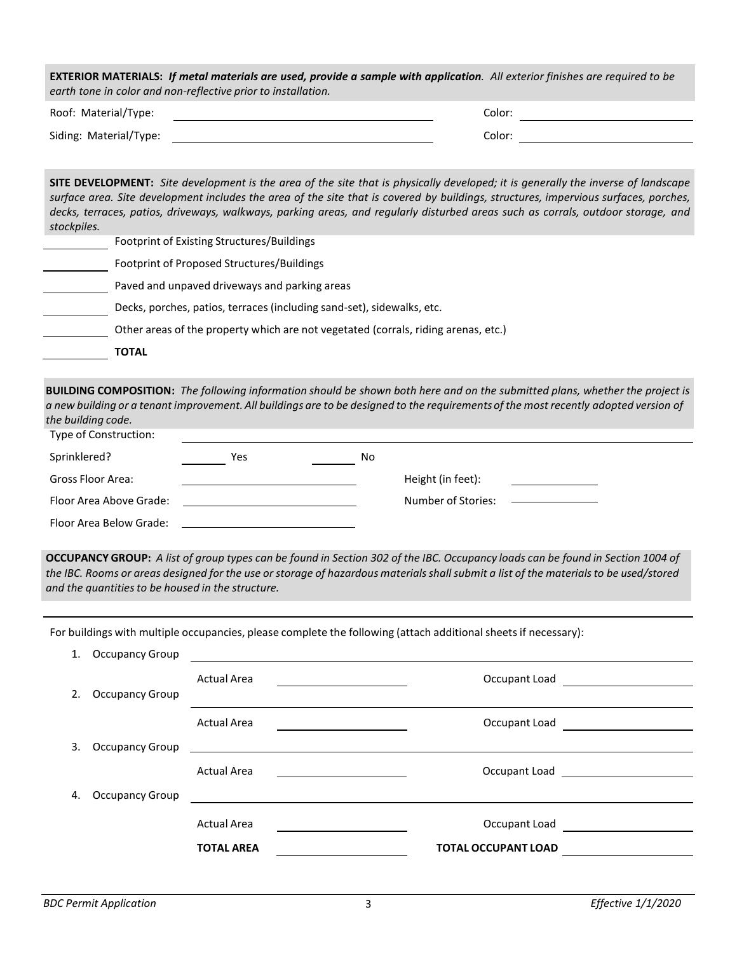| <b>EXTERIOR MATERIALS:</b> If metal materials are used, provide a sample with application. All exterior finishes are required to be<br>earth tone in color and non-reflective prior to installation. |        |  |  |  |  |
|------------------------------------------------------------------------------------------------------------------------------------------------------------------------------------------------------|--------|--|--|--|--|
| Roof: Material/Type:                                                                                                                                                                                 | Color: |  |  |  |  |
| Siding: Material/Type:                                                                                                                                                                               | Color: |  |  |  |  |

| <b>SITE DEVELOPMENT:</b> Site development is the area of the site that is physically developed; it is generally the inverse of landscape |
|------------------------------------------------------------------------------------------------------------------------------------------|
| surface area. Site development includes the area of the site that is covered by buildings, structures, impervious surfaces, porches,     |
| decks, terraces, patios, driveways, walkways, parking areas, and regularly disturbed areas such as corrals, outdoor storage, and         |
| stockpiles.                                                                                                                              |

|  | Footprint of Existing Structures/Buildings                                         |
|--|------------------------------------------------------------------------------------|
|  | Footprint of Proposed Structures/Buildings                                         |
|  | Paved and unpaved driveways and parking areas                                      |
|  | Decks, porches, patios, terraces (including sand-set), sidewalks, etc.             |
|  | Other areas of the property which are not vegetated (corrals, riding arenas, etc.) |
|  | <b>TOTAL</b>                                                                       |
|  |                                                                                    |

**BUILDING COMPOSITION:** *The following information should be shown both here and on the submitted plans, whether the project is a new building or a tenant improvement. All buildings are to be designed to the requirements of the most recently adopted version of the building code.* 

| Type of Construction:   |     |    |                    |  |  |
|-------------------------|-----|----|--------------------|--|--|
| Sprinklered?            | Yes | No |                    |  |  |
| Gross Floor Area:       |     |    | Height (in feet):  |  |  |
| Floor Area Above Grade: |     |    | Number of Stories: |  |  |
| Floor Area Below Grade: |     |    |                    |  |  |

**OCCUPANCY GROUP:** *A list of group types can be found in Section 302 of the IBC. Occupancy loads can be found in Section 1004 of the IBC. Rooms or areas designed for the use or storage of hazardous materials shall submit a list of the materialsto be used/stored and the quantities to be housed in the structure.*

For buildings with multiple occupancies, please complete the following (attach additional sheets if necessary):

| 1. | Occupancy Group        |                    |                                                                                                                                                                                                                                      |
|----|------------------------|--------------------|--------------------------------------------------------------------------------------------------------------------------------------------------------------------------------------------------------------------------------------|
|    |                        | <b>Actual Area</b> | Occupant Load<br><u> 1980 - Andrea Andrew Maria (b. 1980)</u>                                                                                                                                                                        |
| 2. | <b>Occupancy Group</b> |                    |                                                                                                                                                                                                                                      |
|    |                        | <b>Actual Area</b> |                                                                                                                                                                                                                                      |
| 3. |                        |                    | Occupancy Group <u>contract the contract of the contract of the contract of the contract of the contract of the contract of the contract of the contract of the contract of the contract of the contract of the contract of the </u> |
|    |                        | <b>Actual Area</b> | <u> 1989 - Johann Stoff, fransk politik (</u>                                                                                                                                                                                        |
| 4. | <b>Occupancy Group</b> |                    | <u> 1989 - Johann Stoff, deutscher Stoffen und der Stoffen und der Stoffen und der Stoffen und der Stoffen und der Stoffen und der Stoffen und der Stoffen und der Stoffen und der Stoffen und der Stoffen und der Stoffen und d</u> |
|    |                        | <b>Actual Area</b> | Occupant Load<br><u> 1999 - Alexandr Alexandr III, poet</u>                                                                                                                                                                          |
|    |                        | <b>TOTAL AREA</b>  | <b>TOTAL OCCUPANT LOAD</b>                                                                                                                                                                                                           |
|    |                        |                    |                                                                                                                                                                                                                                      |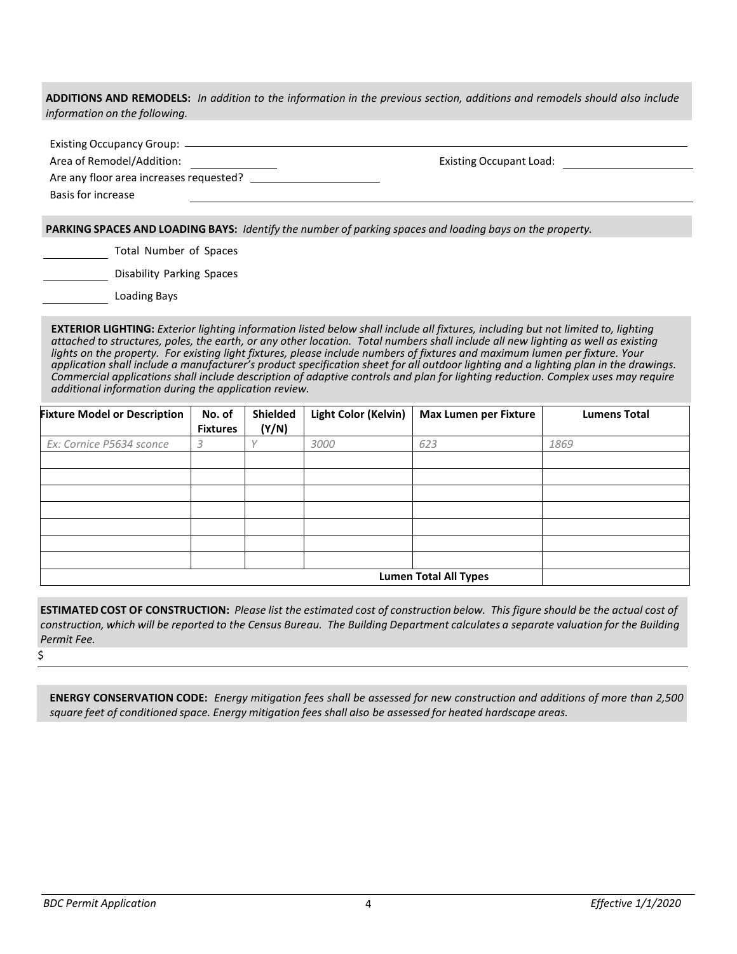**ADDITIONS AND REMODELS:** *In addition to the information in the previous section, additions and remodels should also include information on the following.* 

Existing Occupancy Group:

Area of Remodel/Addition: Existing Occupant Load:

Are any floor area increases requested?

Basis for increase

**PARKING SPACES AND LOADING BAYS:** *Identify the number of parking spaces and loading bays on the property.*

Total Number of Spaces

Disability Parking Spaces

Loading Bays

**EXTERIOR LIGHTING:** *Exterior lighting information listed below shall include all fixtures, including but not limited to, lighting attached to structures, poles, the earth, or any other location. Total numbers shall include all new lighting as well as existing lights on the property. For existing light fixtures, please include numbers of fixtures and maximum lumen per fixture. Your application shall include a manufacturer's product specification sheet for all outdoor lighting and a lighting plan in the drawings. Commercial applications shall include description of adaptive controls and plan for lighting reduction. Complex uses may require additional information during the application review.*

| <b>Fixture Model or Description</b> | No. of<br><b>Fixtures</b> | Shielded<br>(Y/N) | Light Color (Kelvin) | <b>Max Lumen per Fixture</b> | <b>Lumens Total</b> |
|-------------------------------------|---------------------------|-------------------|----------------------|------------------------------|---------------------|
| Ex: Cornice P5634 sconce            | 3                         |                   | 3000                 | 623                          | 1869                |
|                                     |                           |                   |                      |                              |                     |
|                                     |                           |                   |                      |                              |                     |
|                                     |                           |                   |                      |                              |                     |
|                                     |                           |                   |                      |                              |                     |
|                                     |                           |                   |                      |                              |                     |
|                                     |                           |                   |                      |                              |                     |
|                                     |                           |                   |                      |                              |                     |
| <b>Lumen Total All Types</b>        |                           |                   |                      |                              |                     |

**ESTIMATED COST OF CONSTRUCTION:** *Please list the estimated cost of construction below. This figure should be the actual cost of construction, which will be reported to the Census Bureau. The Building Department calculates a separate valuation for the Building Permit Fee.*

\$

**ENERGY CONSERVATION CODE:** *Energy mitigation fees shall be assessed for new construction and additions of more than 2,500 square feet of conditioned space. Energy mitigation fees shall also be assessed for heated hardscape areas.*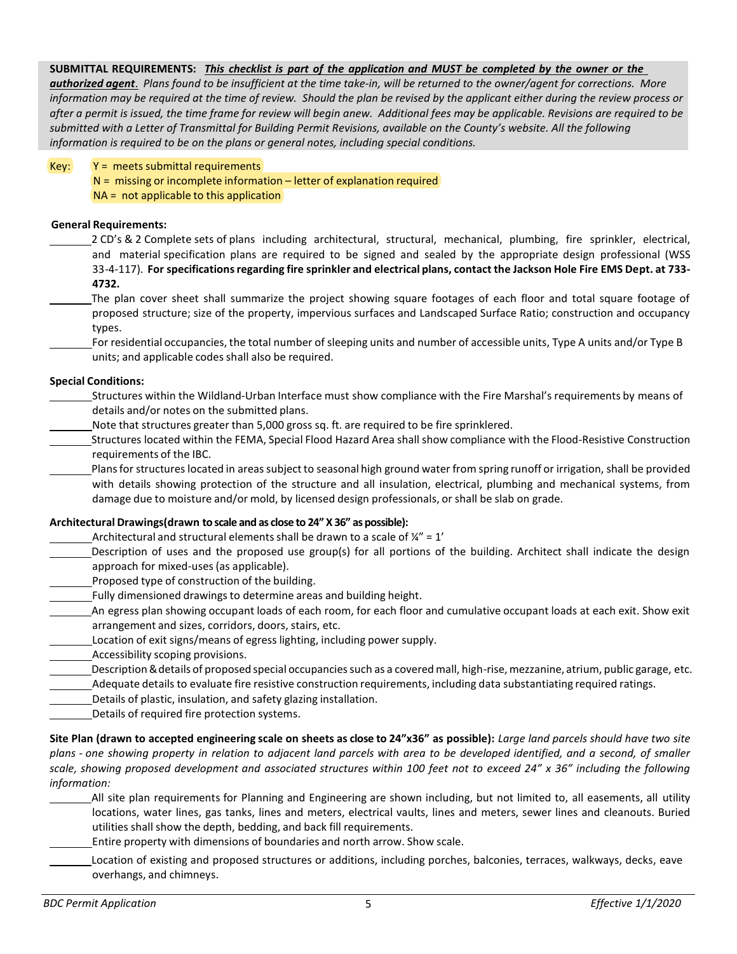### **SUBMITTAL REQUIREMENTS:** *This checklist is part of the application and MUST be completed by the owner or the*

*authorized agent*. *Plans found to be insufficient at the time take-in, will be returned to the owner/agent for corrections. More information may be required at the time of review. Should the plan be revised by the applicant either during the review process or after a permit is issued, the time frame for review will begin anew. Additional fees may be applicable. Revisions are required to be submitted with a Letter of Transmittal for Building Permit Revisions, available on the County's website. All the following information is required to be on the plans or general notes, including special conditions.*

### $Key:$   $Y =$  meets submittal requirements

- $N =$  missing or incomplete information letter of explanation required
- $NA = not applicable to this application$

### **General Requirements:**

2 CD's & 2 Complete sets of plans including architectural, structural, mechanical, plumbing, fire sprinkler, electrical, and material specification plans are required to be signed and sealed by the appropriate design professional (WSS 33-4-117). **For specifications regarding fire sprinkler and electrical plans, contact the Jackson Hole Fire EMS Dept. at 733- 4732.**

- The plan cover sheet shall summarize the project showing square footages of each floor and total square footage of proposed structure; size of the property, impervious surfaces and Landscaped Surface Ratio; construction and occupancy types.
- For residential occupancies, the total number of sleeping units and number of accessible units, Type A units and/or Type B units; and applicable codes shall also be required.

## **Special Conditions:**

- Structures within the Wildland-Urban Interface must show compliance with the Fire Marshal's requirements by means of details and/or notes on the submitted plans.
- Note that structures greater than 5,000 gross sq. ft. are required to be fire sprinklered.
- Structures located within the FEMA, Special Flood Hazard Area shall show compliance with the Flood-Resistive Construction requirements of the IBC.

Plans for structures located in areas subject to seasonal high ground water from spring runoff or irrigation, shall be provided with details showing protection of the structure and all insulation, electrical, plumbing and mechanical systems, from damage due to moisture and/or mold, by licensed design professionals, or shall be slab on grade.

# **Architectural Drawings(drawn to scale and as close to 24" X 36" as possible):**

- Architectural and structural elements shall be drawn to a scale of  $\frac{1}{4}$ " = 1'
- Description of uses and the proposed use group(s) for all portions of the building. Architect shall indicate the design approach for mixed-uses (as applicable).
- Proposed type of construction of the building.
- Fully dimensioned drawings to determine areas and building height.
- An egress plan showing occupant loads of each room, for each floor and cumulative occupant loads at each exit. Show exit arrangement and sizes, corridors, doors, stairs, etc.
- Location of exit signs/means of egress lighting, including power supply.
- Accessibility scoping provisions.
- Description & details of proposed special occupancies such as a covered mall, high-rise, mezzanine, atrium, public garage, etc.
- Adequate details to evaluate fire resistive construction requirements, including data substantiating required ratings.
- Details of plastic, insulation, and safety glazing installation.
- Details of required fire protection systems.

**Site Plan (drawn to accepted engineering scale on sheets as close to 24"x36" as possible):** *Large land parcels should have two site plans - one showing property in relation to adjacent land parcels with area to be developed identified, and a second, of smaller scale, showing proposed development and associated structures within 100 feet not to exceed 24" x 36" including the following information:* 

- All site plan requirements for Planning and Engineering are shown including, but not limited to, all easements, all utility locations, water lines, gas tanks, lines and meters, electrical vaults, lines and meters, sewer lines and cleanouts. Buried utilities shall show the depth, bedding, and back fill requirements.
- Entire property with dimensions of boundaries and north arrow. Show scale.
- Location of existing and proposed structures or additions, including porches, balconies, terraces, walkways, decks, eave overhangs, and chimneys.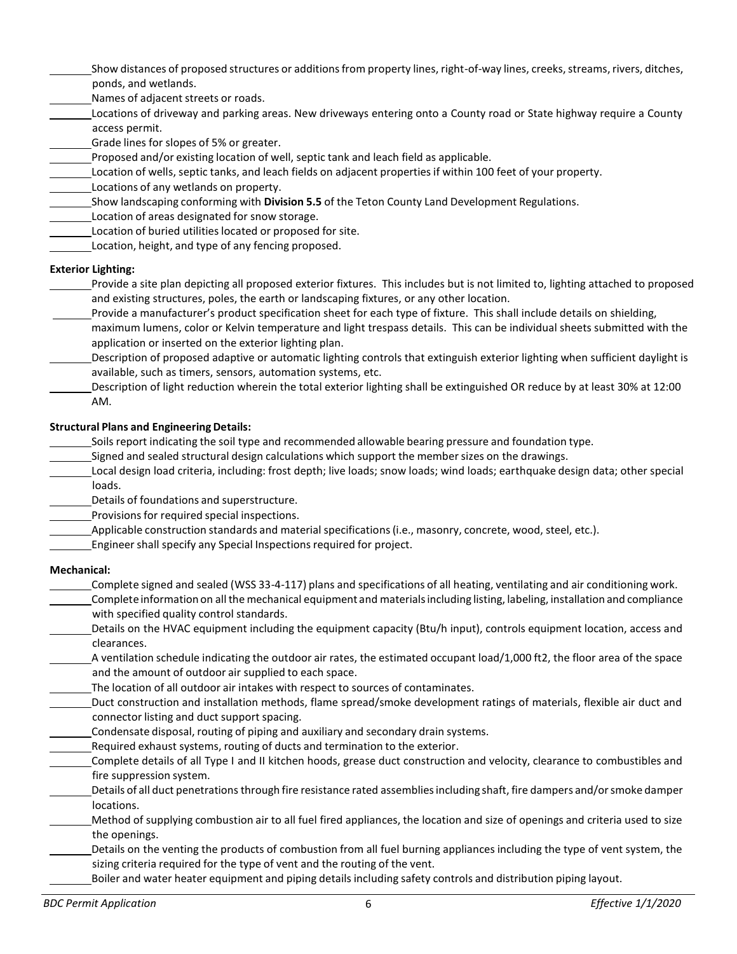- Show distances of proposed structures or additions from property lines, right-of-way lines, creeks, streams, rivers, ditches, ponds, and wetlands.
- Names of adjacent streets or roads.
- Locations of driveway and parking areas. New driveways entering onto a County road or State highway require a County access permit.
- Grade lines for slopes of 5% or greater.
- Proposed and/or existing location of well, septic tank and leach field as applicable.
- Location of wells, septic tanks, and leach fields on adjacent properties if within 100 feet of your property.
- Locations of any wetlands on property.
- Show landscaping conforming with **Division 5.5** of the Teton County Land Development Regulations.
- Location of areas designated for snow storage.
- Location of buried utilities located or proposed for site.
- Location, height, and type of any fencing proposed.

## **Exterior Lighting:**

- Provide a site plan depicting all proposed exterior fixtures. This includes but is not limited to, lighting attached to proposed and existing structures, poles, the earth or landscaping fixtures, or any other location.
	- Provide a manufacturer's product specification sheet for each type of fixture. This shall include details on shielding,
- maximum lumens, color or Kelvin temperature and light trespass details. This can be individual sheets submitted with the application or inserted on the exterior lighting plan.
- Description of proposed adaptive or automatic lighting controls that extinguish exterior lighting when sufficient daylight is available, such as timers, sensors, automation systems, etc.
- Description of light reduction wherein the total exterior lighting shall be extinguished OR reduce by at least 30% at 12:00 AM.

## **Structural Plans and Engineering Details:**

- Soils report indicating the soil type and recommended allowable bearing pressure and foundation type.
- Signed and sealed structural design calculations which support the member sizes on the drawings.
- Local design load criteria, including: frost depth; live loads; snow loads; wind loads; earthquake design data; other special loads.
- Details of foundations and superstructure.
- Provisions for required special inspections.
- Applicable construction standards and material specifications (i.e., masonry, concrete, wood, steel, etc.).
- Engineer shall specify any Special Inspections required for project.

## **Mechanical:**

- Complete signed and sealed (WSS 33-4-117) plans and specifications of all heating, ventilating and air conditioning work.
- Complete information on all the mechanical equipment and materials including listing, labeling, installation and compliance with specified quality control standards.
- Details on the HVAC equipment including the equipment capacity (Btu/h input), controls equipment location, access and clearances.
- A ventilation schedule indicating the outdoor air rates, the estimated occupant load/1,000 ft2, the floor area of the space and the amount of outdoor air supplied to each space.
- The location of all outdoor air intakes with respect to sources of contaminates.
- Duct construction and installation methods, flame spread/smoke development ratings of materials, flexible air duct and connector listing and duct support spacing.
- Condensate disposal, routing of piping and auxiliary and secondary drain systems.
- Required exhaust systems, routing of ducts and termination to the exterior.
- Complete details of all Type I and II kitchen hoods, grease duct construction and velocity, clearance to combustibles and fire suppression system.
- Details of all duct penetrations through fire resistance rated assemblies including shaft, fire dampers and/or smoke damper locations.
- Method of supplying combustion air to all fuel fired appliances, the location and size of openings and criteria used to size the openings.
- Details on the venting the products of combustion from all fuel burning appliances including the type of vent system, the sizing criteria required for the type of vent and the routing of the vent.
	- Boiler and water heater equipment and piping details including safety controls and distribution piping layout.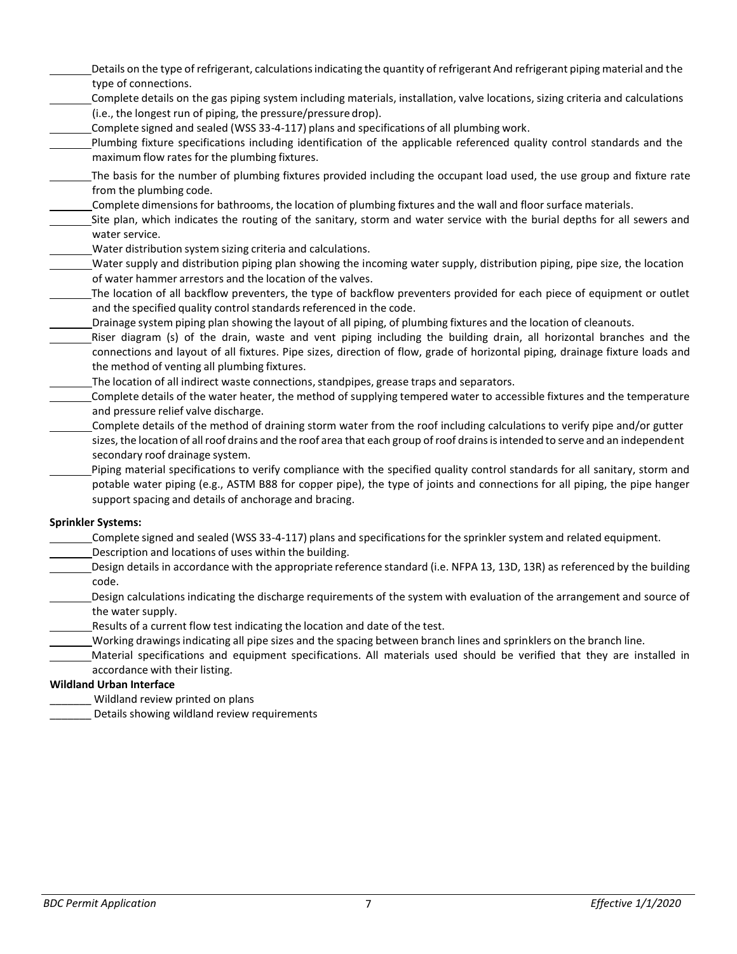- Details on the type of refrigerant, calculations indicating the quantity of refrigerant And refrigerant piping material and the type of connections.
- Complete details on the gas piping system including materials, installation, valve locations, sizing criteria and calculations (i.e., the longest run of piping, the pressure/pressure drop).
- Complete signed and sealed (WSS 33-4-117) plans and specifications of all plumbing work.
- Plumbing fixture specifications including identification of the applicable referenced quality control standards and the maximum flow rates for the plumbing fixtures.
- The basis for the number of plumbing fixtures provided including the occupant load used, the use group and fixture rate from the plumbing code.
- Complete dimensions for bathrooms, the location of plumbing fixtures and the wall and floor surface materials.
- Site plan, which indicates the routing of the sanitary, storm and water service with the burial depths for all sewers and water service.
- Water distribution system sizing criteria and calculations.
- Water supply and distribution piping plan showing the incoming water supply, distribution piping, pipe size, the location of water hammer arrestors and the location of the valves.
- The location of all backflow preventers, the type of backflow preventers provided for each piece of equipment or outlet and the specified quality control standards referenced in the code.
- Drainage system piping plan showing the layout of all piping, of plumbing fixtures and the location of cleanouts.
- Riser diagram (s) of the drain, waste and vent piping including the building drain, all horizontal branches and the connections and layout of all fixtures. Pipe sizes, direction of flow, grade of horizontal piping, drainage fixture loads and the method of venting all plumbing fixtures.
- The location of all indirect waste connections, standpipes, grease traps and separators.
- Complete details of the water heater, the method of supplying tempered water to accessible fixtures and the temperature and pressure relief valve discharge.
- Complete details of the method of draining storm water from the roof including calculations to verify pipe and/or gutter sizes, the location of all roof drains and the roof area that each group of roof drains is intended to serve and an independent secondary roof drainage system.
- Piping material specifications to verify compliance with the specified quality control standards for all sanitary, storm and potable water piping (e.g., ASTM B88 for copper pipe), the type of joints and connections for all piping, the pipe hanger support spacing and details of anchorage and bracing.

## **Sprinkler Systems:**

- Complete signed and sealed (WSS 33-4-117) plans and specifications for the sprinkler system and related equipment.
- Description and locations of uses within the building.
- Design details in accordance with the appropriate reference standard (i.e. NFPA 13, 13D, 13R) as referenced by the building code.
- Design calculations indicating the discharge requirements of the system with evaluation of the arrangement and source of the water supply.
- Results of a current flow test indicating the location and date of the test.
- Working drawings indicating all pipe sizes and the spacing between branch lines and sprinklers on the branch line.
- Material specifications and equipment specifications. All materials used should be verified that they are installed in accordance with their listing.

## **Wildland Urban Interface**

- Wildland review printed on plans
- Details showing wildland review requirements